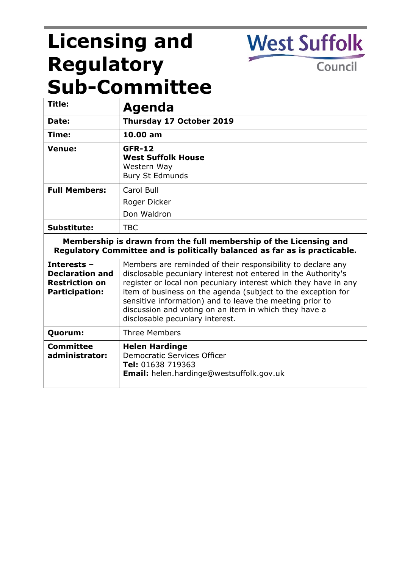# **Licensing and Regulatory Sub-Committee**

**West Suffolk** 

Council

| Title:                                                                                                                                          | Agenda                                                                                                                                                                                                                                                                                                                                                                                                                  |
|-------------------------------------------------------------------------------------------------------------------------------------------------|-------------------------------------------------------------------------------------------------------------------------------------------------------------------------------------------------------------------------------------------------------------------------------------------------------------------------------------------------------------------------------------------------------------------------|
| Date:                                                                                                                                           | Thursday 17 October 2019                                                                                                                                                                                                                                                                                                                                                                                                |
| Time:                                                                                                                                           | 10.00 am                                                                                                                                                                                                                                                                                                                                                                                                                |
| Venue:                                                                                                                                          | <b>GFR-12</b><br><b>West Suffolk House</b><br>Western Way<br><b>Bury St Edmunds</b>                                                                                                                                                                                                                                                                                                                                     |
| <b>Full Members:</b>                                                                                                                            | Carol Bull                                                                                                                                                                                                                                                                                                                                                                                                              |
|                                                                                                                                                 | Roger Dicker                                                                                                                                                                                                                                                                                                                                                                                                            |
|                                                                                                                                                 | Don Waldron                                                                                                                                                                                                                                                                                                                                                                                                             |
| Substitute:                                                                                                                                     | <b>TBC</b>                                                                                                                                                                                                                                                                                                                                                                                                              |
| Membership is drawn from the full membership of the Licensing and<br>Regulatory Committee and is politically balanced as far as is practicable. |                                                                                                                                                                                                                                                                                                                                                                                                                         |
| <b>Interests -</b><br><b>Declaration and</b><br><b>Restriction on</b><br><b>Participation:</b>                                                  | Members are reminded of their responsibility to declare any<br>disclosable pecuniary interest not entered in the Authority's<br>register or local non pecuniary interest which they have in any<br>item of business on the agenda (subject to the exception for<br>sensitive information) and to leave the meeting prior to<br>discussion and voting on an item in which they have a<br>disclosable pecuniary interest. |
| Quorum:                                                                                                                                         | <b>Three Members</b>                                                                                                                                                                                                                                                                                                                                                                                                    |
| <b>Committee</b><br>administrator:                                                                                                              | <b>Helen Hardinge</b><br>Democratic Services Officer<br>Tel: 01638 719363<br><b>Email:</b> helen.hardinge@westsuffolk.gov.uk                                                                                                                                                                                                                                                                                            |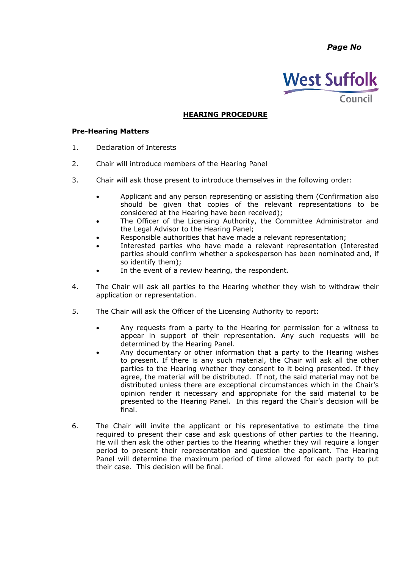*Page No*



## **HEARING PROCEDURE**

#### **Pre-Hearing Matters**

- 1. Declaration of Interests
- 2. Chair will introduce members of the Hearing Panel
- 3. Chair will ask those present to introduce themselves in the following order:
	- Applicant and any person representing or assisting them (Confirmation also should be given that copies of the relevant representations to be considered at the Hearing have been received);
	- The Officer of the Licensing Authority, the Committee Administrator and the Legal Advisor to the Hearing Panel;
	- Responsible authorities that have made a relevant representation;
	- Interested parties who have made a relevant representation (Interested parties should confirm whether a spokesperson has been nominated and, if so identify them);
	- In the event of a review hearing, the respondent.
- 4. The Chair will ask all parties to the Hearing whether they wish to withdraw their application or representation.
- 5. The Chair will ask the Officer of the Licensing Authority to report:
	- Any requests from a party to the Hearing for permission for a witness to appear in support of their representation. Any such requests will be determined by the Hearing Panel.
	- Any documentary or other information that a party to the Hearing wishes to present. If there is any such material, the Chair will ask all the other parties to the Hearing whether they consent to it being presented. If they agree, the material will be distributed. If not, the said material may not be distributed unless there are exceptional circumstances which in the Chair's opinion render it necessary and appropriate for the said material to be presented to the Hearing Panel. In this regard the Chair's decision will be final.
- 6. The Chair will invite the applicant or his representative to estimate the time required to present their case and ask questions of other parties to the Hearing. He will then ask the other parties to the Hearing whether they will require a longer period to present their representation and question the applicant. The Hearing Panel will determine the maximum period of time allowed for each party to put their case. This decision will be final.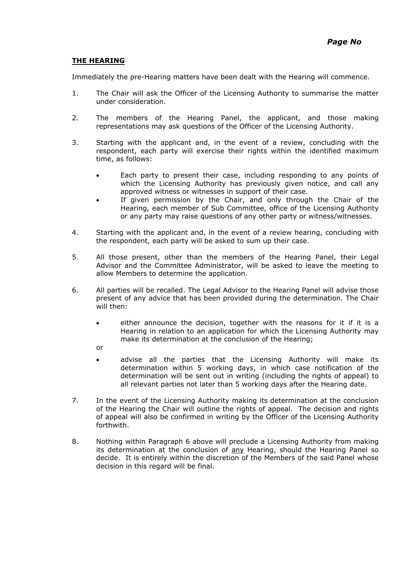### **THE HEARING**

Immediately the pre-Hearing matters have been dealt with the Hearing will commence.

- 1. The Chair will ask the Officer of the Licensing Authority to summarise the matter under consideration.
- 2. The members of the Hearing Panel, the applicant, and those making representations may ask questions of the Officer of the Licensing Authority.
- 3. Starting with the applicant and, in the event of a review, concluding with the respondent, each party will exercise their rights within the identified maximum time, as follows:
	- Each party to present their case, including responding to any points of which the Licensing Authority has previously given notice, and call any approved witness or witnesses in support of their case.
	- If given permission by the Chair, and only through the Chair of the Hearing, each member of Sub Committee, office of the Licensing Authority or any party may raise questions of any other party or witness/witnesses.
- 4. Starting with the applicant and, in the event of a review hearing, concluding with the respondent, each party will be asked to sum up their case.
- 5. All those present, other than the members of the Hearing Panel, their Legal Advisor and the Committee Administrator, will be asked to leave the meeting to allow Members to determine the application.
- 6. All parties will be recalled. The Legal Advisor to the Hearing Panel will advise those present of any advice that has been provided during the determination. The Chair will then:
	- either announce the decision, together with the reasons for it if it is a Hearing in relation to an application for which the Licensing Authority may make its determination at the conclusion of the Hearing;
	- or
	- advise all the parties that the Licensing Authority will make its determination within 5 working days, in which case notification of the determination will be sent out in writing (including the rights of appeal) to all relevant parties not later than 5 working days after the Hearing date.
- 7. In the event of the Licensing Authority making its determination at the conclusion of the Hearing the Chair will outline the rights of appeal. The decision and rights of appeal will also be confirmed in writing by the Officer of the Licensing Authority forthwith.
- 8. Nothing within Paragraph 6 above will preclude a Licensing Authority from making its determination at the conclusion of any Hearing, should the Hearing Panel so decide. It is entirely within the discretion of the Members of the said Panel whose decision in this regard will be final.